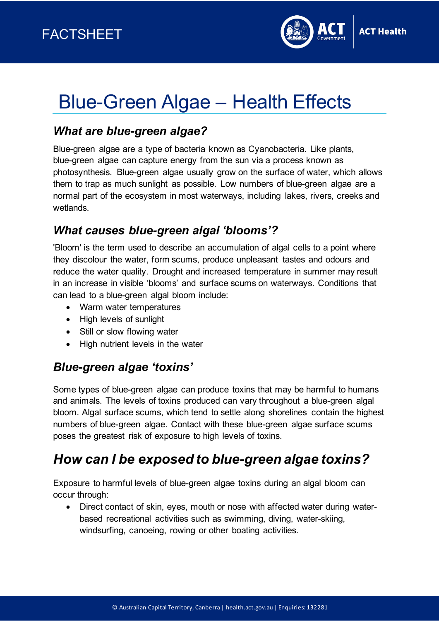

# Blue-Green Algae – Health Effects

### *What are blue-green algae?*

Blue-green algae are a type of bacteria known as Cyanobacteria. Like plants, blue-green algae can capture energy from the sun via a process known as photosynthesis. Blue-green algae usually grow on the surface of water, which allows them to trap as much sunlight as possible. Low numbers of blue-green algae are a normal part of the ecosystem in most waterways, including lakes, rivers, creeks and wetlands.

#### *What causes blue-green algal 'blooms'?*

'Bloom' is the term used to describe an accumulation of algal cells to a point where they discolour the water, form scums, produce unpleasant tastes and odours and reduce the water quality. Drought and increased temperature in summer may result in an increase in visible 'blooms' and surface scums on waterways. Conditions that can lead to a blue-green algal bloom include:

- Warm water temperatures
- High levels of sunlight
- Still or slow flowing water
- High nutrient levels in the water

#### *Blue-green algae 'toxins'*

Some types of blue-green algae can produce toxins that may be harmful to humans and animals. The levels of toxins produced can vary throughout a blue-green algal bloom. Algal surface scums, which tend to settle along shorelines contain the highest numbers of blue-green algae. Contact with these blue-green algae surface scums poses the greatest risk of exposure to high levels of toxins.

# *How can I be exposed to blue-green algae toxins?*

Exposure to harmful levels of blue-green algae toxins during an algal bloom can occur through:

• Direct contact of skin, eyes, mouth or nose with affected water during waterbased recreational activities such as swimming, diving, water-skiing, windsurfing, canoeing, rowing or other boating activities.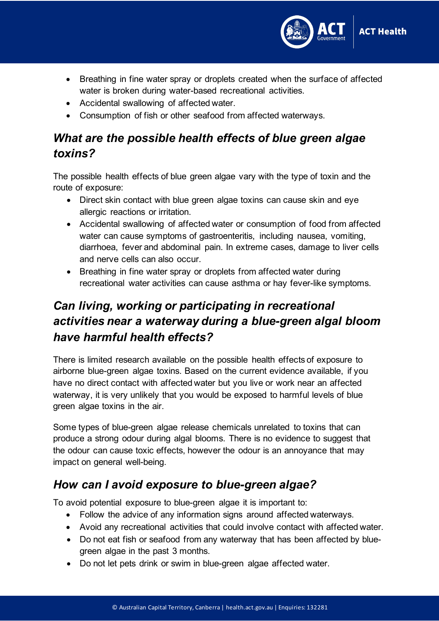

- Breathing in fine water spray or droplets created when the surface of affected water is broken during water-based recreational activities.
- Accidental swallowing of affected water.
- Consumption of fish or other seafood from affected waterways.

# *What are the possible health effects of blue green algae toxins?*

The possible health effects of blue green algae vary with the type of toxin and the route of exposure:

- Direct skin contact with blue green algae toxins can cause skin and eye allergic reactions or irritation.
- Accidental swallowing of affected water or consumption of food from affected water can cause symptoms of gastroenteritis, including nausea, vomiting, diarrhoea, fever and abdominal pain. In extreme cases, damage to liver cells and nerve cells can also occur.
- Breathing in fine water spray or droplets from affected water during recreational water activities can cause asthma or hay fever-like symptoms.

# *Can living, working or participating in recreational activities near a waterway during a blue-green algal bloom have harmful health effects?*

There is limited research available on the possible health effects of exposure to airborne blue-green algae toxins. Based on the current evidence available, if you have no direct contact with affected water but you live or work near an affected waterway, it is very unlikely that you would be exposed to harmful levels of blue green algae toxins in the air.

Some types of blue-green algae release chemicals unrelated to toxins that can produce a strong odour during algal blooms. There is no evidence to suggest that the odour can cause toxic effects, however the odour is an annoyance that may impact on general well-being.

#### *How can I avoid exposure to blue-green algae?*

To avoid potential exposure to blue-green algae it is important to:

- Follow the advice of any information signs around affected waterways.
- Avoid any recreational activities that could involve contact with affected water.
- Do not eat fish or seafood from any waterway that has been affected by bluegreen algae in the past 3 months.
- Do not let pets drink or swim in blue-green algae affected water.